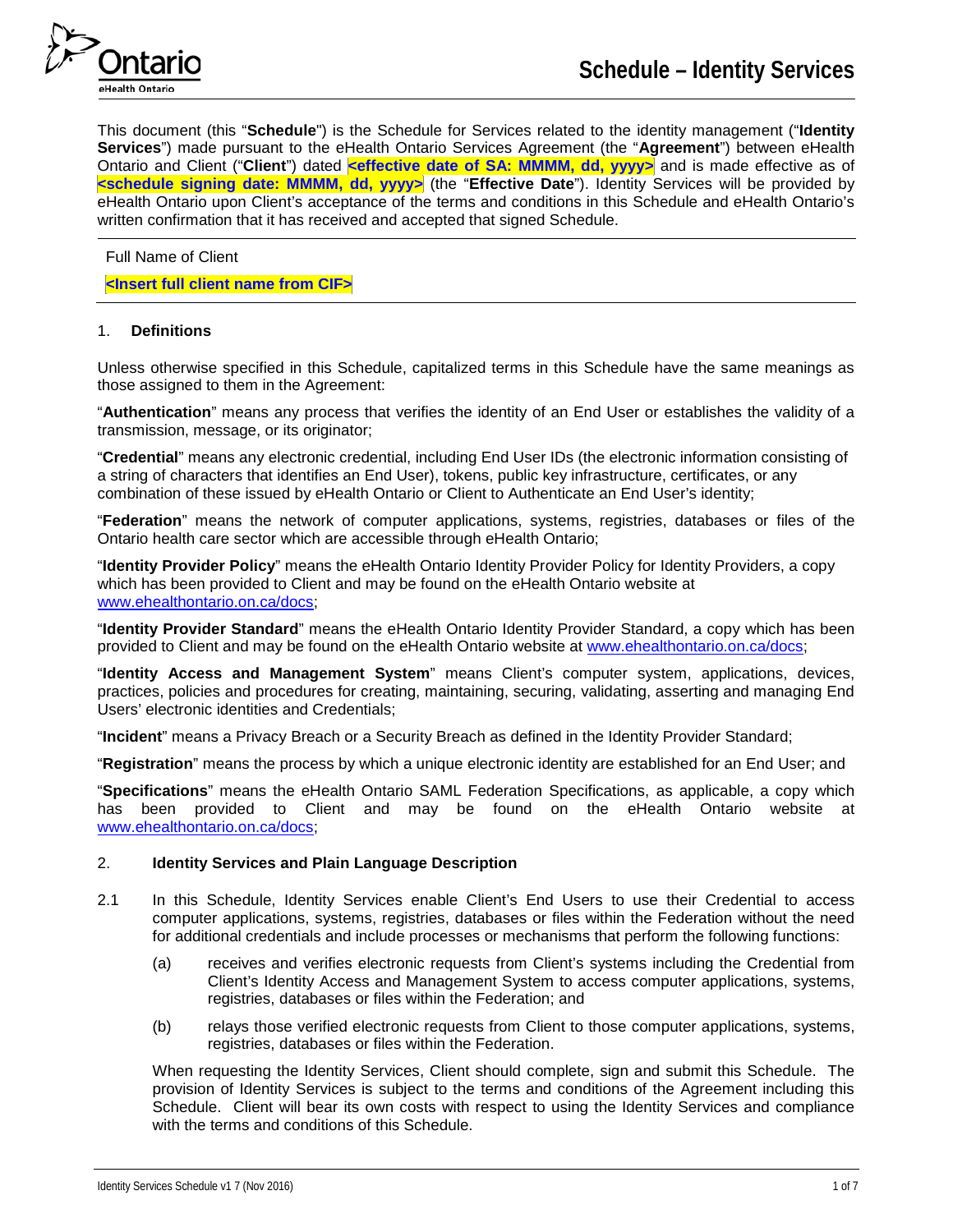

This document (this "**Schedule**") is the Schedule for Services related to the identity management ("**Identity Services**") made pursuant to the eHealth Ontario Services Agreement (the "**Agreement**") between eHealth Ontario and Client ("**Client**") dated **<effective date of SA: MMMM, dd, yyyy>** and is made effective as of **<schedule signing date: MMMM, dd, yyyy>** (the "**Effective Date**"). Identity Services will be provided by eHealth Ontario upon Client's acceptance of the terms and conditions in this Schedule and eHealth Ontario's written confirmation that it has received and accepted that signed Schedule.

Full Name of Client

**<Insert full client name from CIF>**

### 1. **Definitions**

Unless otherwise specified in this Schedule, capitalized terms in this Schedule have the same meanings as those assigned to them in the Agreement:

"**Authentication**" means any process that verifies the identity of an End User or establishes the validity of a transmission, message, or its originator;

"**Credential**" means any electronic credential, including End User IDs (the electronic information consisting of a string of characters that identifies an End User), tokens, public key infrastructure, certificates, or any combination of these issued by eHealth Ontario or Client to Authenticate an End User's identity;

"**Federation**" means the network of computer applications, systems, registries, databases or files of the Ontario health care sector which are accessible through eHealth Ontario;

"**Identity Provider Policy**" means the eHealth Ontario Identity Provider Policy for Identity Providers, a copy which has been provided to Client and may be found on the eHealth Ontario website at [www.ehealthontario.on.ca/docs;](http://www.ehealthontario.on.ca/docs)

"**Identity Provider Standard**" means the eHealth Ontario Identity Provider Standard, a copy which has been provided to Client and may be found on the eHealth Ontario website at [www.ehealthontario.on.ca/docs;](http://www.ehealthontario.on.ca/docs)

"**Identity Access and Management System**" means Client's computer system, applications, devices, practices, policies and procedures for creating, maintaining, securing, validating, asserting and managing End Users' electronic identities and Credentials;

"**Incident**" means a Privacy Breach or a Security Breach as defined in the Identity Provider Standard;

"**Registration**" means the process by which a unique electronic identity are established for an End User; and

"**Specifications**" means the eHealth Ontario SAML Federation Specifications, as applicable, a copy which has been provided to Client and may be found on the eHealth Ontario website at [www.ehealthontario.on.ca/docs;](http://www.ehealthontario.on.ca/docs)

### 2. **Identity Services and Plain Language Description**

- 2.1 In this Schedule, Identity Services enable Client's End Users to use their Credential to access computer applications, systems, registries, databases or files within the Federation without the need for additional credentials and include processes or mechanisms that perform the following functions:
	- (a) receives and verifies electronic requests from Client's systems including the Credential from Client's Identity Access and Management System to access computer applications, systems, registries, databases or files within the Federation; and
	- (b) relays those verified electronic requests from Client to those computer applications, systems, registries, databases or files within the Federation.

When requesting the Identity Services, Client should complete, sign and submit this Schedule. The provision of Identity Services is subject to the terms and conditions of the Agreement including this Schedule. Client will bear its own costs with respect to using the Identity Services and compliance with the terms and conditions of this Schedule.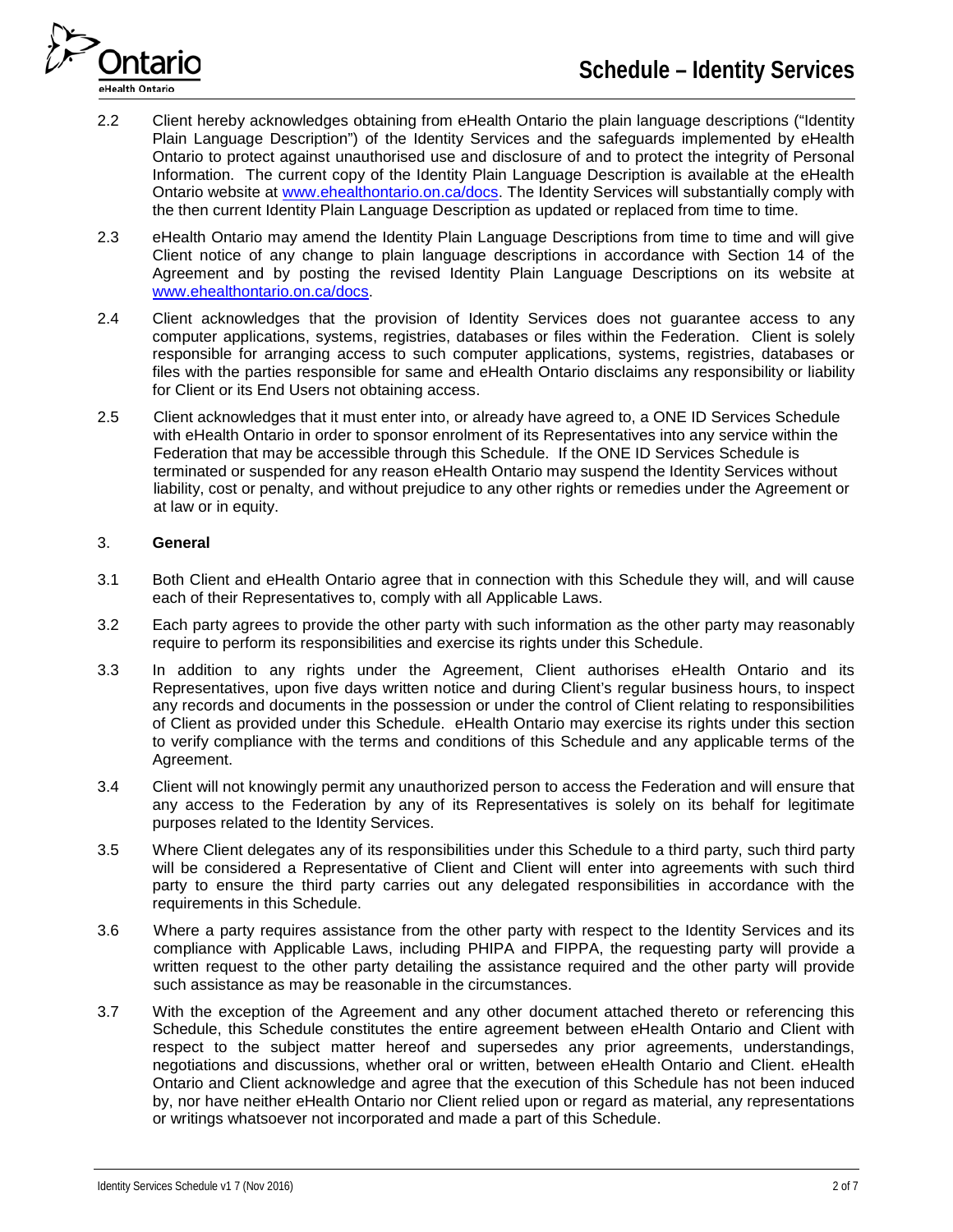

- 2.2 Client hereby acknowledges obtaining from eHealth Ontario the plain language descriptions ("Identity Plain Language Description") of the Identity Services and the safeguards implemented by eHealth Ontario to protect against unauthorised use and disclosure of and to protect the integrity of Personal Information. The current copy of the Identity Plain Language Description is available at the eHealth Ontario website at [www.ehealthontario.on.ca/docs.](http://www.ehealthontario.on.ca/docs) The Identity Services will substantially comply with the then current Identity Plain Language Description as updated or replaced from time to time.
- 2.3 eHealth Ontario may amend the Identity Plain Language Descriptions from time to time and will give Client notice of any change to plain language descriptions in accordance with Section 14 of the Agreement and by posting the revised Identity Plain Language Descriptions on its website at [www.ehealthontario.on.ca/docs.](http://www.ehealthontario.on.ca/docs)
- 2.4 Client acknowledges that the provision of Identity Services does not guarantee access to any computer applications, systems, registries, databases or files within the Federation. Client is solely responsible for arranging access to such computer applications, systems, registries, databases or files with the parties responsible for same and eHealth Ontario disclaims any responsibility or liability for Client or its End Users not obtaining access.
- 2.5 Client acknowledges that it must enter into, or already have agreed to, a ONE ID Services Schedule with eHealth Ontario in order to sponsor enrolment of its Representatives into any service within the Federation that may be accessible through this Schedule. If the ONE ID Services Schedule is terminated or suspended for any reason eHealth Ontario may suspend the Identity Services without liability, cost or penalty, and without prejudice to any other rights or remedies under the Agreement or at law or in equity.

# 3. **General**

- 3.1 Both Client and eHealth Ontario agree that in connection with this Schedule they will, and will cause each of their Representatives to, comply with all Applicable Laws.
- 3.2 Each party agrees to provide the other party with such information as the other party may reasonably require to perform its responsibilities and exercise its rights under this Schedule.
- 3.3 In addition to any rights under the Agreement, Client authorises eHealth Ontario and its Representatives, upon five days written notice and during Client's regular business hours, to inspect any records and documents in the possession or under the control of Client relating to responsibilities of Client as provided under this Schedule. eHealth Ontario may exercise its rights under this section to verify compliance with the terms and conditions of this Schedule and any applicable terms of the Agreement.
- 3.4 Client will not knowingly permit any unauthorized person to access the Federation and will ensure that any access to the Federation by any of its Representatives is solely on its behalf for legitimate purposes related to the Identity Services.
- 3.5 Where Client delegates any of its responsibilities under this Schedule to a third party, such third party will be considered a Representative of Client and Client will enter into agreements with such third party to ensure the third party carries out any delegated responsibilities in accordance with the requirements in this Schedule.
- 3.6 Where a party requires assistance from the other party with respect to the Identity Services and its compliance with Applicable Laws, including PHIPA and FIPPA, the requesting party will provide a written request to the other party detailing the assistance required and the other party will provide such assistance as may be reasonable in the circumstances.
- 3.7 With the exception of the Agreement and any other document attached thereto or referencing this Schedule, this Schedule constitutes the entire agreement between eHealth Ontario and Client with respect to the subject matter hereof and supersedes any prior agreements, understandings, negotiations and discussions, whether oral or written, between eHealth Ontario and Client. eHealth Ontario and Client acknowledge and agree that the execution of this Schedule has not been induced by, nor have neither eHealth Ontario nor Client relied upon or regard as material, any representations or writings whatsoever not incorporated and made a part of this Schedule.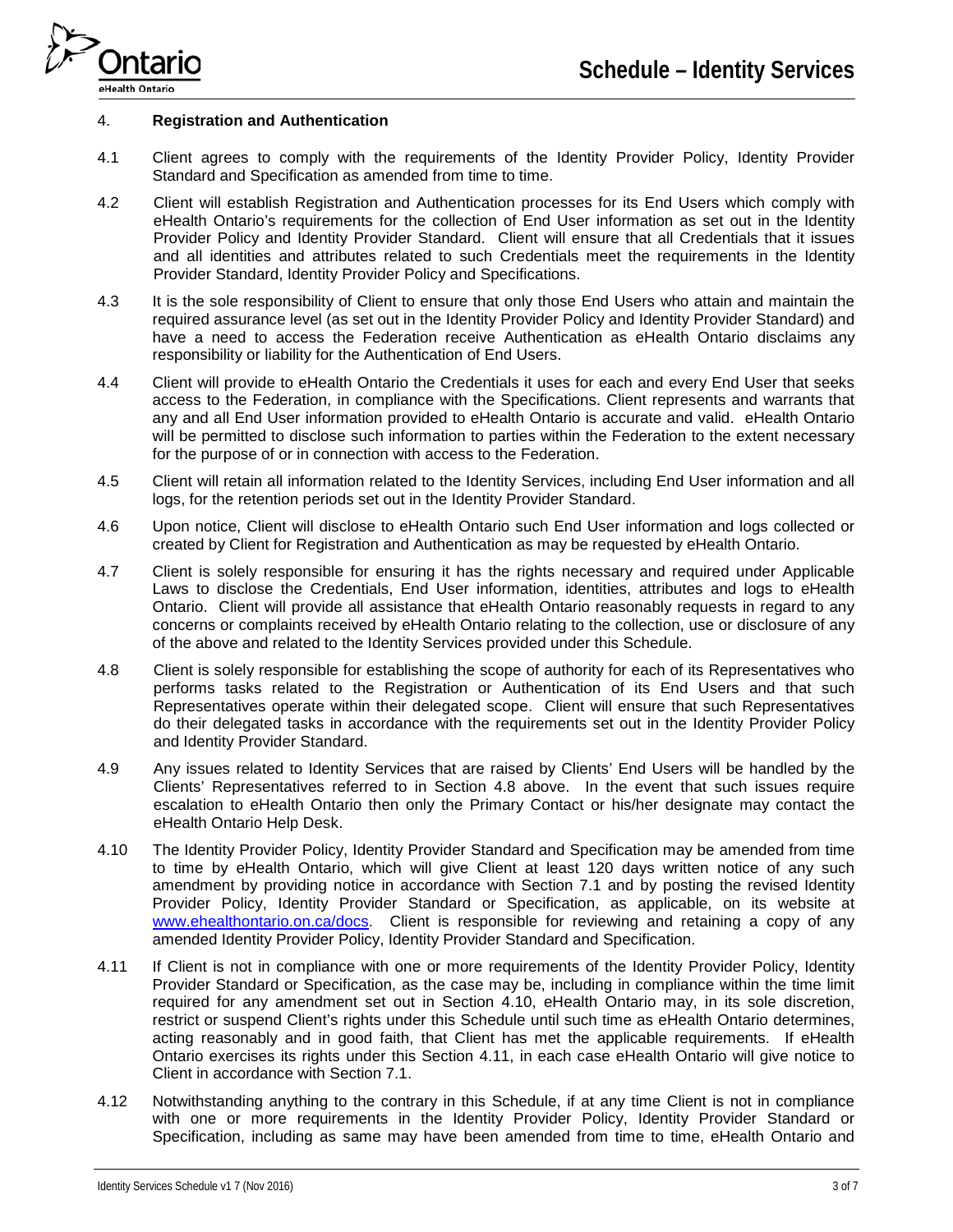

#### 4. **Registration and Authentication**

- 4.1 Client agrees to comply with the requirements of the Identity Provider Policy, Identity Provider Standard and Specification as amended from time to time.
- 4.2 Client will establish Registration and Authentication processes for its End Users which comply with eHealth Ontario's requirements for the collection of End User information as set out in the Identity Provider Policy and Identity Provider Standard. Client will ensure that all Credentials that it issues and all identities and attributes related to such Credentials meet the requirements in the Identity Provider Standard, Identity Provider Policy and Specifications.
- 4.3 It is the sole responsibility of Client to ensure that only those End Users who attain and maintain the required assurance level (as set out in the Identity Provider Policy and Identity Provider Standard) and have a need to access the Federation receive Authentication as eHealth Ontario disclaims any responsibility or liability for the Authentication of End Users.
- 4.4 Client will provide to eHealth Ontario the Credentials it uses for each and every End User that seeks access to the Federation, in compliance with the Specifications. Client represents and warrants that any and all End User information provided to eHealth Ontario is accurate and valid. eHealth Ontario will be permitted to disclose such information to parties within the Federation to the extent necessary for the purpose of or in connection with access to the Federation.
- 4.5 Client will retain all information related to the Identity Services, including End User information and all logs, for the retention periods set out in the Identity Provider Standard.
- 4.6 Upon notice, Client will disclose to eHealth Ontario such End User information and logs collected or created by Client for Registration and Authentication as may be requested by eHealth Ontario.
- 4.7 Client is solely responsible for ensuring it has the rights necessary and required under Applicable Laws to disclose the Credentials, End User information, identities, attributes and logs to eHealth Ontario. Client will provide all assistance that eHealth Ontario reasonably requests in regard to any concerns or complaints received by eHealth Ontario relating to the collection, use or disclosure of any of the above and related to the Identity Services provided under this Schedule.
- 4.8 Client is solely responsible for establishing the scope of authority for each of its Representatives who performs tasks related to the Registration or Authentication of its End Users and that such Representatives operate within their delegated scope. Client will ensure that such Representatives do their delegated tasks in accordance with the requirements set out in the Identity Provider Policy and Identity Provider Standard.
- 4.9 Any issues related to Identity Services that are raised by Clients' End Users will be handled by the Clients' Representatives referred to in Section 4.8 above. In the event that such issues require escalation to eHealth Ontario then only the Primary Contact or his/her designate may contact the eHealth Ontario Help Desk.
- 4.10 The Identity Provider Policy, Identity Provider Standard and Specification may be amended from time to time by eHealth Ontario, which will give Client at least 120 days written notice of any such amendment by providing notice in accordance with Section 7.1 and by posting the revised Identity Provider Policy, Identity Provider Standard or Specification, as applicable, on its website at [www.ehealthontario.on.ca/docs.](http://www.ehealthontario.on.ca/docs) Client is responsible for reviewing and retaining a copy of any amended Identity Provider Policy, Identity Provider Standard and Specification.
- 4.11 If Client is not in compliance with one or more requirements of the Identity Provider Policy, Identity Provider Standard or Specification, as the case may be, including in compliance within the time limit required for any amendment set out in Section 4.10, eHealth Ontario may, in its sole discretion, restrict or suspend Client's rights under this Schedule until such time as eHealth Ontario determines, acting reasonably and in good faith, that Client has met the applicable requirements. If eHealth Ontario exercises its rights under this Section 4.11, in each case eHealth Ontario will give notice to Client in accordance with Section 7.1.
- 4.12 Notwithstanding anything to the contrary in this Schedule, if at any time Client is not in compliance with one or more requirements in the Identity Provider Policy, Identity Provider Standard or Specification, including as same may have been amended from time to time, eHealth Ontario and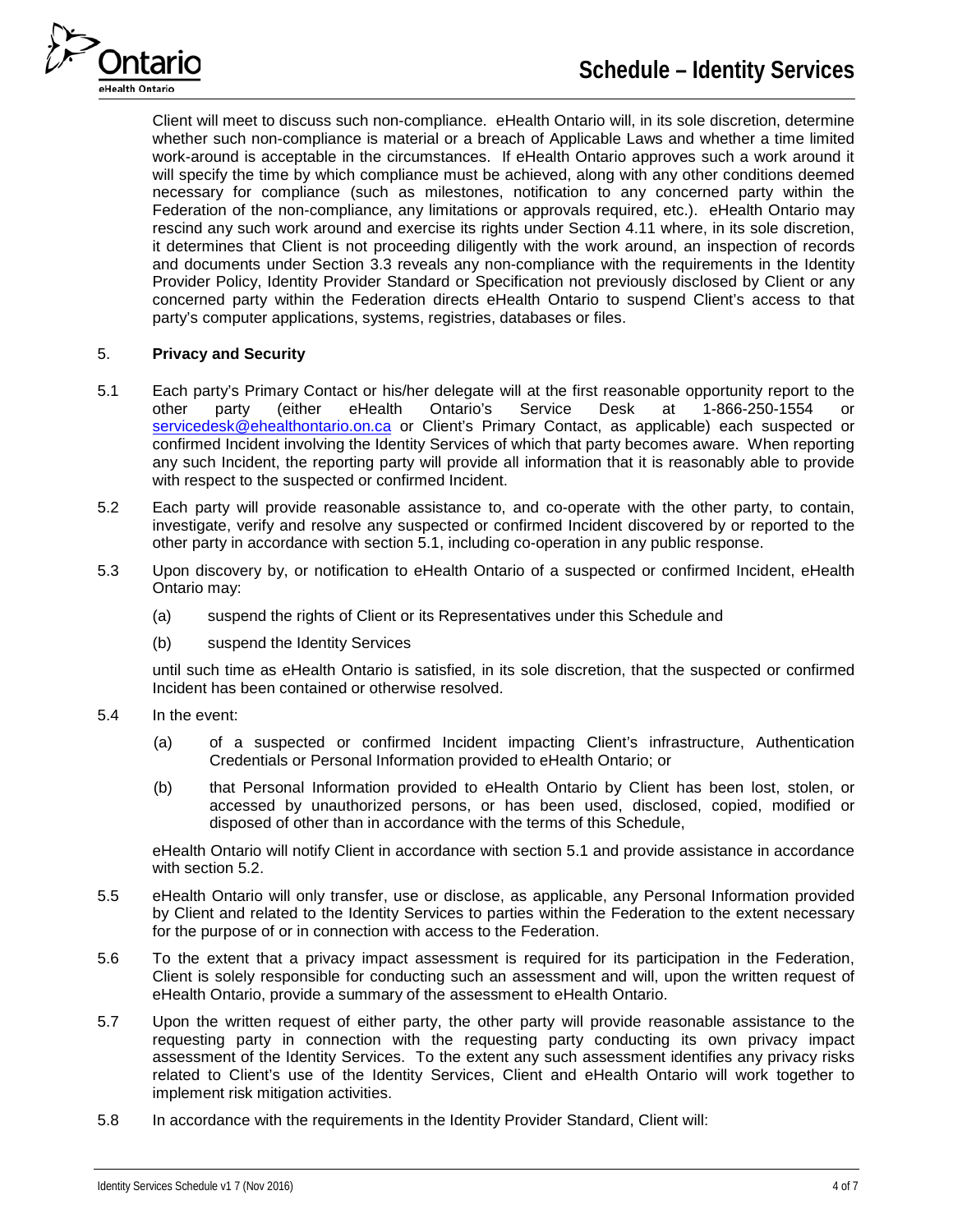

Client will meet to discuss such non-compliance. eHealth Ontario will, in its sole discretion, determine whether such non-compliance is material or a breach of Applicable Laws and whether a time limited work-around is acceptable in the circumstances. If eHealth Ontario approves such a work around it will specify the time by which compliance must be achieved, along with any other conditions deemed necessary for compliance (such as milestones, notification to any concerned party within the Federation of the non-compliance, any limitations or approvals required, etc.). eHealth Ontario may rescind any such work around and exercise its rights under Section 4.11 where, in its sole discretion, it determines that Client is not proceeding diligently with the work around, an inspection of records and documents under Section 3.3 reveals any non-compliance with the requirements in the Identity Provider Policy, Identity Provider Standard or Specification not previously disclosed by Client or any concerned party within the Federation directs eHealth Ontario to suspend Client's access to that party's computer applications, systems, registries, databases or files.

# 5. **Privacy and Security**

- 5.1 Each party's Primary Contact or his/her delegate will at the first reasonable opportunity report to the other party (either eHealth Ontario's Service Desk at 1-866-250-1554 or [servicedesk@ehealthontario.on.ca](mailto:servicedesk@ehealthontario.on.ca) or Client's Primary Contact, as applicable) each suspected or confirmed Incident involving the Identity Services of which that party becomes aware. When reporting any such Incident, the reporting party will provide all information that it is reasonably able to provide with respect to the suspected or confirmed Incident.
- 5.2 Each party will provide reasonable assistance to, and co-operate with the other party, to contain, investigate, verify and resolve any suspected or confirmed Incident discovered by or reported to the other party in accordance with section 5.1, including co-operation in any public response.
- 5.3 Upon discovery by, or notification to eHealth Ontario of a suspected or confirmed Incident, eHealth Ontario may:
	- (a) suspend the rights of Client or its Representatives under this Schedule and
	- (b) suspend the Identity Services

until such time as eHealth Ontario is satisfied, in its sole discretion, that the suspected or confirmed Incident has been contained or otherwise resolved.

- 5.4 In the event:
	- (a) of a suspected or confirmed Incident impacting Client's infrastructure, Authentication Credentials or Personal Information provided to eHealth Ontario; or
	- (b) that Personal Information provided to eHealth Ontario by Client has been lost, stolen, or accessed by unauthorized persons, or has been used, disclosed, copied, modified or disposed of other than in accordance with the terms of this Schedule,

eHealth Ontario will notify Client in accordance with section 5.1 and provide assistance in accordance with section 5.2.

- 5.5 eHealth Ontario will only transfer, use or disclose, as applicable, any Personal Information provided by Client and related to the Identity Services to parties within the Federation to the extent necessary for the purpose of or in connection with access to the Federation.
- 5.6 To the extent that a privacy impact assessment is required for its participation in the Federation, Client is solely responsible for conducting such an assessment and will, upon the written request of eHealth Ontario, provide a summary of the assessment to eHealth Ontario.
- 5.7 Upon the written request of either party, the other party will provide reasonable assistance to the requesting party in connection with the requesting party conducting its own privacy impact assessment of the Identity Services. To the extent any such assessment identifies any privacy risks related to Client's use of the Identity Services, Client and eHealth Ontario will work together to implement risk mitigation activities.
- 5.8 In accordance with the requirements in the Identity Provider Standard, Client will: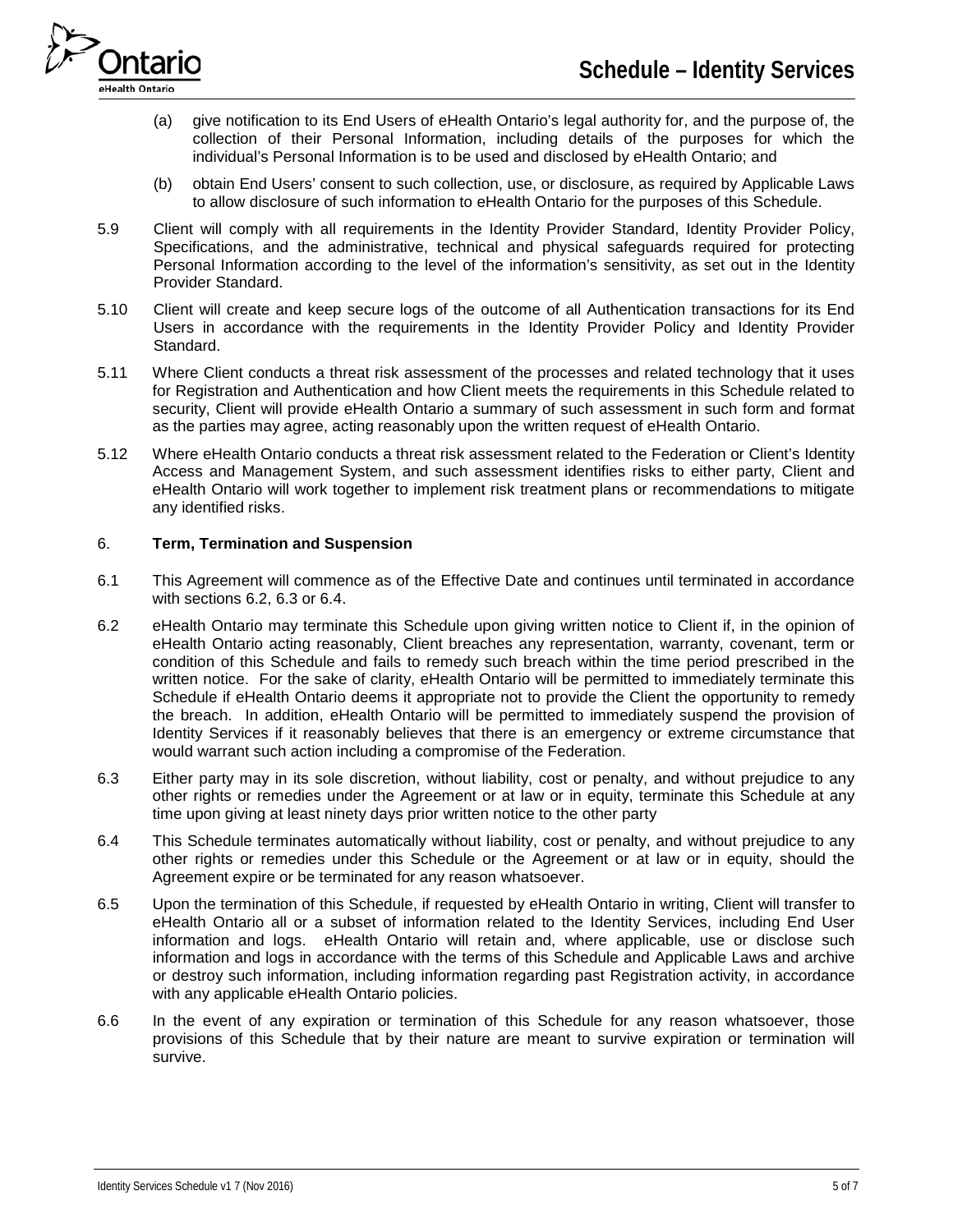

- (a) give notification to its End Users of eHealth Ontario's legal authority for, and the purpose of, the collection of their Personal Information, including details of the purposes for which the individual's Personal Information is to be used and disclosed by eHealth Ontario; and
- (b) obtain End Users' consent to such collection, use, or disclosure, as required by Applicable Laws to allow disclosure of such information to eHealth Ontario for the purposes of this Schedule.
- 5.9 Client will comply with all requirements in the Identity Provider Standard, Identity Provider Policy, Specifications, and the administrative, technical and physical safeguards required for protecting Personal Information according to the level of the information's sensitivity, as set out in the Identity Provider Standard.
- 5.10 Client will create and keep secure logs of the outcome of all Authentication transactions for its End Users in accordance with the requirements in the Identity Provider Policy and Identity Provider Standard.
- 5.11 Where Client conducts a threat risk assessment of the processes and related technology that it uses for Registration and Authentication and how Client meets the requirements in this Schedule related to security, Client will provide eHealth Ontario a summary of such assessment in such form and format as the parties may agree, acting reasonably upon the written request of eHealth Ontario.
- 5.12 Where eHealth Ontario conducts a threat risk assessment related to the Federation or Client's Identity Access and Management System, and such assessment identifies risks to either party, Client and eHealth Ontario will work together to implement risk treatment plans or recommendations to mitigate any identified risks.

### 6. **Term, Termination and Suspension**

- 6.1 This Agreement will commence as of the Effective Date and continues until terminated in accordance with sections 6.2, 6.3 or 6.4.
- 6.2 eHealth Ontario may terminate this Schedule upon giving written notice to Client if, in the opinion of eHealth Ontario acting reasonably, Client breaches any representation, warranty, covenant, term or condition of this Schedule and fails to remedy such breach within the time period prescribed in the written notice. For the sake of clarity, eHealth Ontario will be permitted to immediately terminate this Schedule if eHealth Ontario deems it appropriate not to provide the Client the opportunity to remedy the breach. In addition, eHealth Ontario will be permitted to immediately suspend the provision of Identity Services if it reasonably believes that there is an emergency or extreme circumstance that would warrant such action including a compromise of the Federation.
- 6.3 Either party may in its sole discretion, without liability, cost or penalty, and without prejudice to any other rights or remedies under the Agreement or at law or in equity, terminate this Schedule at any time upon giving at least ninety days prior written notice to the other party
- 6.4 This Schedule terminates automatically without liability, cost or penalty, and without prejudice to any other rights or remedies under this Schedule or the Agreement or at law or in equity, should the Agreement expire or be terminated for any reason whatsoever.
- 6.5 Upon the termination of this Schedule, if requested by eHealth Ontario in writing, Client will transfer to eHealth Ontario all or a subset of information related to the Identity Services, including End User information and logs. eHealth Ontario will retain and, where applicable, use or disclose such information and logs in accordance with the terms of this Schedule and Applicable Laws and archive or destroy such information, including information regarding past Registration activity, in accordance with any applicable eHealth Ontario policies.
- 6.6 In the event of any expiration or termination of this Schedule for any reason whatsoever, those provisions of this Schedule that by their nature are meant to survive expiration or termination will survive.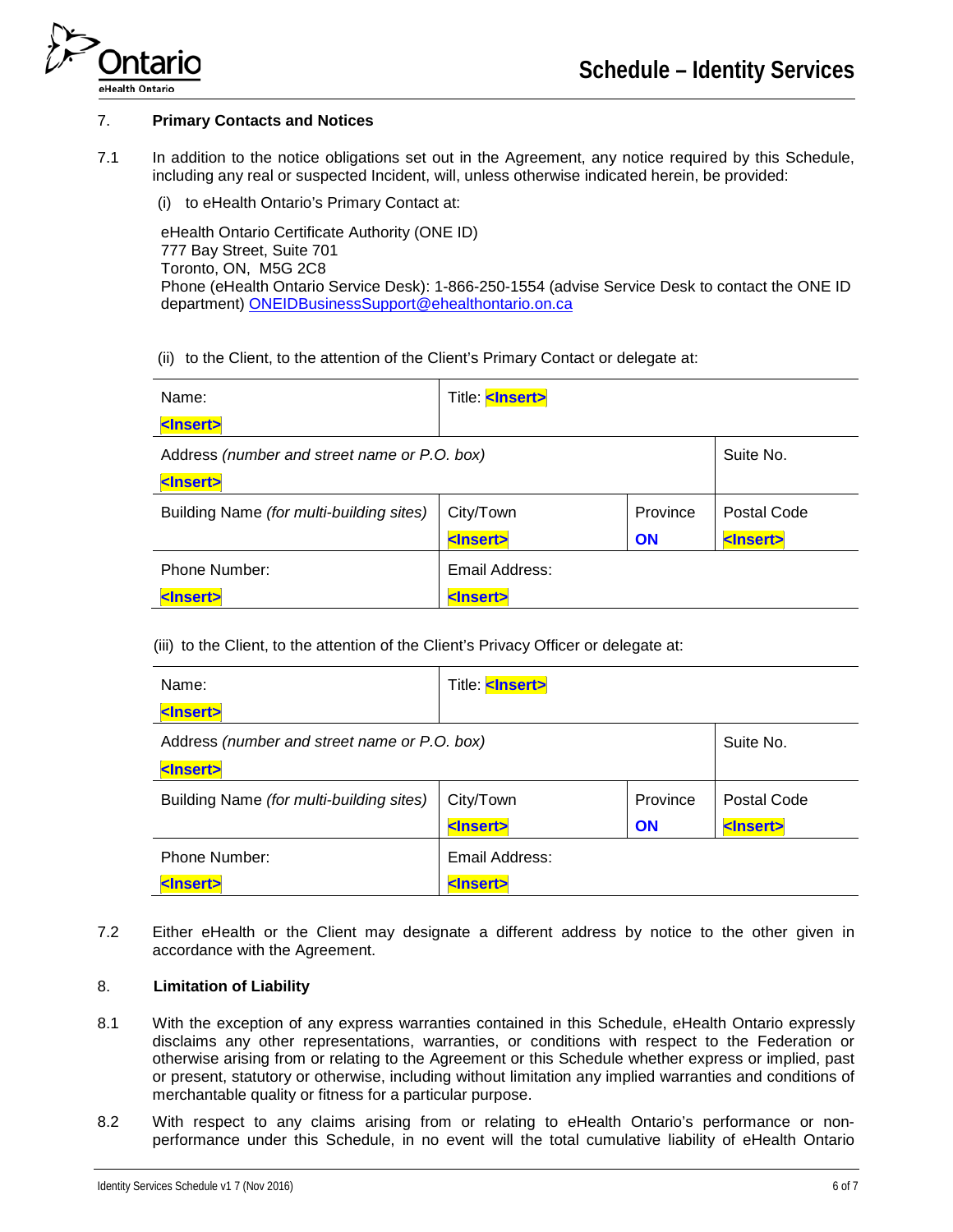

### 7. **Primary Contacts and Notices**

7.1 In addition to the notice obligations set out in the Agreement, any notice required by this Schedule, including any real or suspected Incident, will, unless otherwise indicated herein, be provided:

(i) to eHealth Ontario's Primary Contact at:

eHealth Ontario Certificate Authority (ONE ID) 777 Bay Street, Suite 701 Toronto, ON, M5G 2C8 Phone (eHealth Ontario Service Desk): 1-866-250-1554 (advise Service Desk to contact the ONE ID department) [ONEIDBusinessSupport@ehealthontario.on.ca](mailto:ONEIDBusinessSupport@ehealthontario.on.ca)

(ii) to the Client, to the attention of the Client's Primary Contact or delegate at:

| Name:                                        | Title: <lnsert></lnsert> |           |                   |
|----------------------------------------------|--------------------------|-----------|-------------------|
| <lnsert></lnsert>                            |                          |           |                   |
| Address (number and street name or P.O. box) |                          | Suite No. |                   |
| <lnsert></lnsert>                            |                          |           |                   |
| Building Name (for multi-building sites)     | City/Town                | Province  | Postal Code       |
|                                              | <lnsert></lnsert>        | <b>ON</b> | <lnsert></lnsert> |
| Phone Number:                                | Email Address:           |           |                   |
| <lnsert></lnsert>                            | <lnsert></lnsert>        |           |                   |

(iii) to the Client, to the attention of the Client's Privacy Officer or delegate at:

| Name:                                        | Title: <lnsert></lnsert> |          |                   |
|----------------------------------------------|--------------------------|----------|-------------------|
| <lnsert></lnsert>                            |                          |          |                   |
| Address (number and street name or P.O. box) |                          |          | Suite No.         |
| <lnsert></lnsert>                            |                          |          |                   |
| Building Name (for multi-building sites)     | City/Town                | Province | Postal Code       |
|                                              | <lnsert></lnsert>        | ON       | <lnsert></lnsert> |
| Phone Number:                                | Email Address:           |          |                   |
| <lnsert></lnsert>                            | <lnsert></lnsert>        |          |                   |

7.2 Either eHealth or the Client may designate a different address by notice to the other given in accordance with the Agreement.

# 8. **Limitation of Liability**

- 8.1 With the exception of any express warranties contained in this Schedule, eHealth Ontario expressly disclaims any other representations, warranties, or conditions with respect to the Federation or otherwise arising from or relating to the Agreement or this Schedule whether express or implied, past or present, statutory or otherwise, including without limitation any implied warranties and conditions of merchantable quality or fitness for a particular purpose.
- 8.2 With respect to any claims arising from or relating to eHealth Ontario's performance or nonperformance under this Schedule, in no event will the total cumulative liability of eHealth Ontario